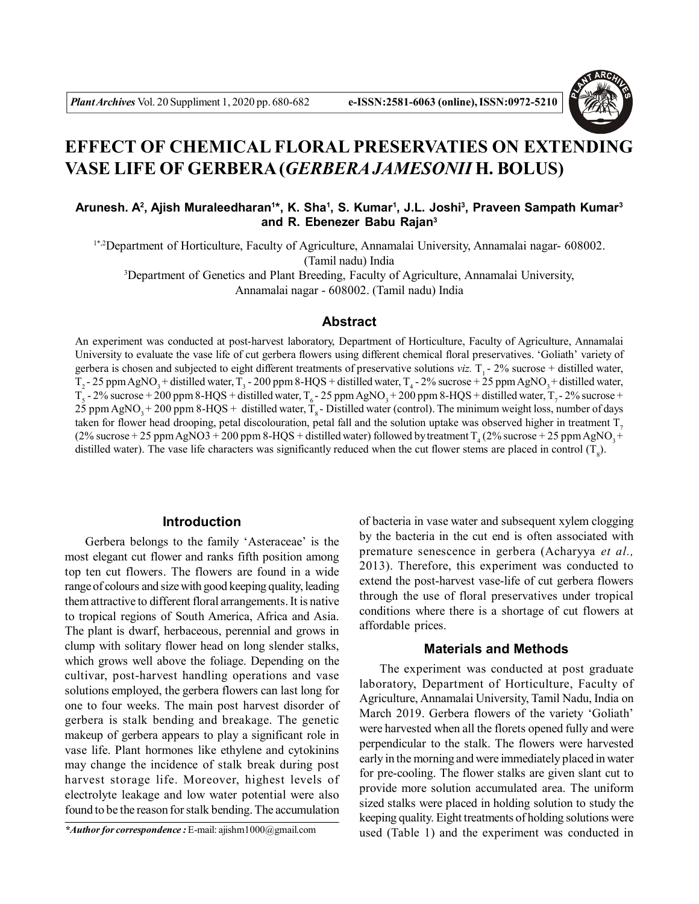

# **EFFECT OF CHEMICAL FLORAL PRESERVATIES ON EXTENDING VASE LIFE OF GERBERA (***GERBERA JAMESONII* **H. BOLUS)**

## **Arunesh. A<sup>2</sup> , Ajish Muraleedharan<sup>1</sup> \*, K. Sha<sup>1</sup> , S. Kumar<sup>1</sup> , J.L. Joshi<sup>3</sup> , Praveen Sampath Kumar<sup>3</sup> and R. Ebenezer Babu Rajan<sup>3</sup>**

1\*,2Department of Horticulture, Faculty of Agriculture, Annamalai University, Annamalai nagar- 608002. (Tamil nadu) India

<sup>3</sup>Department of Genetics and Plant Breeding, Faculty of Agriculture, Annamalai University, Annamalai nagar - 608002. (Tamil nadu) India

#### **Abstract**

An experiment was conducted at post-harvest laboratory, Department of Horticulture, Faculty of Agriculture, Annamalai University to evaluate the vase life of cut gerbera flowers using different chemical floral preservatives. 'Goliath' variety of gerbera is chosen and subjected to eight different treatments of preservative solutions  $viz$ .  $T_1 - 2\%$  sucrose + distilled water,  $T_2$ - 25 ppm AgNO<sub>3</sub>+ distilled water, T<sub>3</sub> - 200 ppm 8-HQS + distilled water, T<sub>4</sub> - 2% sucrose + 25 ppm AgNO<sub>3</sub>+ distilled water,  $T_5$  - 2% sucrose + 200 ppm 8-HQS + distilled water,  $T_6$  - 25 ppm AgNO<sub>3</sub> + 200 ppm 8-HQS + distilled water,  $T_7$  - 2% sucrose +  $2\overline{5}$  ppm AgNO<sub>3</sub> + 200 ppm 8-HQS + distilled water,  $T_s$ -Distilled water (control). The minimum weight loss, number of days taken for flower head drooping, petal discolouration, petal fall and the solution uptake was observed higher in treatment  $T_{\tau}$ (2% sucrose + 25 ppm AgNO3 + 200 ppm 8-HQS + distilled water) followed by treatment  $T_4$  (2% sucrose + 25 ppm AgNO<sub>3</sub>+ distilled water). The vase life characters was significantly reduced when the cut flower stems are placed in control  $(T_8)$ .

### **Introduction**

Gerbera belongs to the family 'Asteraceae' is the most elegant cut flower and ranks fifth position among top ten cut flowers. The flowers are found in a wide range of colours and size with good keeping quality, leading them attractive to different floral arrangements. It is native to tropical regions of South America, Africa and Asia. The plant is dwarf, herbaceous, perennial and grows in clump with solitary flower head on long slender stalks, which grows well above the foliage. Depending on the cultivar, post-harvest handling operations and vase solutions employed, the gerbera flowers can last long for one to four weeks. The main post harvest disorder of gerbera is stalk bending and breakage. The genetic makeup of gerbera appears to play a significant role in vase life. Plant hormones like ethylene and cytokinins may change the incidence of stalk break during post harvest storage life. Moreover, highest levels of electrolyte leakage and low water potential were also found to be the reason for stalk bending. The accumulation

*\*Author for correspondence :* E-mail: ajishm1000@gmail.com

of bacteria in vase water and subsequent xylem clogging by the bacteria in the cut end is often associated with premature senescence in gerbera (Acharyya *et al.,* 2013). Therefore, this experiment was conducted to extend the post-harvest vase-life of cut gerbera flowers through the use of floral preservatives under tropical conditions where there is a shortage of cut flowers at affordable prices.

### **Materials and Methods**

The experiment was conducted at post graduate laboratory, Department of Horticulture, Faculty of Agriculture, Annamalai University, Tamil Nadu, India on March 2019. Gerbera flowers of the variety 'Goliath' were harvested when all the florets opened fully and were perpendicular to the stalk. The flowers were harvested early in the morning and were immediately placed in water for pre-cooling. The flower stalks are given slant cut to provide more solution accumulated area. The uniform sized stalks were placed in holding solution to study the keeping quality. Eight treatments of holding solutions were used (Table 1) and the experiment was conducted in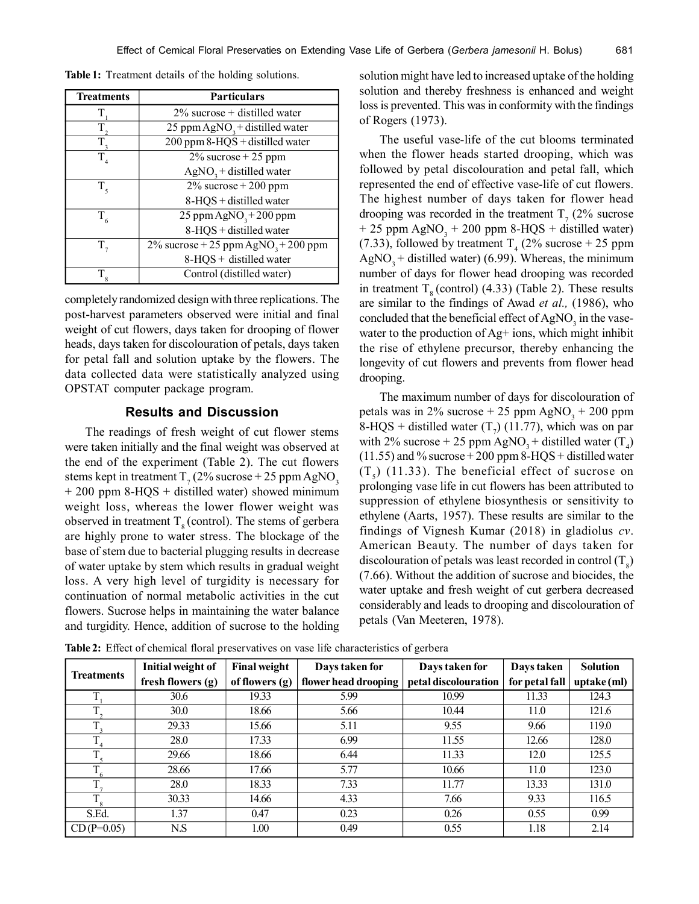| <b>Treatments</b> | <b>Particulars</b>                                 |  |  |  |  |
|-------------------|----------------------------------------------------|--|--|--|--|
|                   | $2\%$ sucrose + distilled water                    |  |  |  |  |
| T                 | 25 ppm AgNO <sub>3</sub> + distilled water         |  |  |  |  |
| T,                | 200 ppm 8-HQS + distilled water                    |  |  |  |  |
| $T_{\rm A}$       | $2\%$ sucrose + 25 ppm                             |  |  |  |  |
|                   | $AgNO3 + distilled water$                          |  |  |  |  |
| $T_{\rm s}$       | $2\%$ sucrose + 200 ppm                            |  |  |  |  |
|                   | 8-HQS + distilled water                            |  |  |  |  |
| $T_{6}$           | 25 ppm AgNO <sub>3</sub> + 200 ppm                 |  |  |  |  |
|                   | 8-HQS + distilled water                            |  |  |  |  |
| $T_{\tau}$        | $2\%$ sucrose + 25 ppm AgNO <sub>3</sub> + 200 ppm |  |  |  |  |
|                   | 8-HQS + distilled water                            |  |  |  |  |
| $T_{\rm 8}$       | Control (distilled water)                          |  |  |  |  |

**Table 1:** Treatment details of the holding solutions.

completely randomized design with three replications. The post-harvest parameters observed were initial and final weight of cut flowers, days taken for drooping of flower heads, days taken for discolouration of petals, days taken for petal fall and solution uptake by the flowers. The data collected data were statistically analyzed using OPSTAT computer package program.

### **Results and Discussion**

The readings of fresh weight of cut flower stems were taken initially and the final weight was observed at the end of the experiment (Table 2). The cut flowers stems kept in treatment  $T_7$  (2% sucrose + 25 ppm AgNO<sub>3</sub> + 200 ppm 8-HQS + distilled water) showed minimum weight loss, whereas the lower flower weight was observed in treatment  $T<sub>s</sub>$  (control). The stems of gerbera are highly prone to water stress. The blockage of the base of stem due to bacterial plugging results in decrease of water uptake by stem which results in gradual weight loss. A very high level of turgidity is necessary for continuation of normal metabolic activities in the cut flowers. Sucrose helps in maintaining the water balance and turgidity. Hence, addition of sucrose to the holding solution might have led to increased uptake of the holding solution and thereby freshness is enhanced and weight loss is prevented. This was in conformity with the findings of Rogers (1973).

The useful vase-life of the cut blooms terminated when the flower heads started drooping, which was followed by petal discolouration and petal fall, which represented the end of effective vase-life of cut flowers. The highest number of days taken for flower head drooping was recorded in the treatment  $T<sub>7</sub>$  (2% sucrose  $+ 25$  ppm AgNO<sub>3</sub>  $+ 200$  ppm 8-HQS  $+$  distilled water) (7.33), followed by treatment  $T_4$  (2% sucrose + 25 ppm AgNO<sub>3</sub> + distilled water) (6.99). Whereas, the minimum number of days for flower head drooping was recorded in treatment  $T<sub>s</sub>$  (control) (4.33) (Table 2). These results are similar to the findings of Awad *et al.,* (1986), who concluded that the beneficial effect of  $\text{AgNO}_3$  in the vasewater to the production of Ag+ ions, which might inhibit the rise of ethylene precursor, thereby enhancing the longevity of cut flowers and prevents from flower head drooping.

The maximum number of days for discolouration of petals was in 2% sucrose  $+ 25$  ppm AgNO<sub>3</sub>  $+ 200$  ppm 8-HQS + distilled water  $(T_7)$  (11.77), which was on par with 2% sucrose + 25 ppm AgNO<sub>3</sub> + distilled water  $(T_4)$  $(11.55)$  and % sucrose + 200 ppm 8-HQS + distilled water  $(T<sub>5</sub>)$  (11.33). The beneficial effect of sucrose on prolonging vase life in cut flowers has been attributed to suppression of ethylene biosynthesis or sensitivity to ethylene (Aarts, 1957). These results are similar to the findings of Vignesh Kumar (2018) in gladiolus *cv*. American Beauty. The number of days taken for discolouration of petals was least recorded in control  $(T_{\rm s})$ (7.66). Without the addition of sucrose and biocides, the water uptake and fresh weight of cut gerbera decreased considerably and leads to drooping and discolouration of petals (Van Meeteren, 1978).

**Table 2:** Effect of chemical floral preservatives on vase life characteristics of gerbera

| <b>Treatments</b> | Initial weight of | <b>Final weight</b> | Days taken for       | Days taken for       | Days taken     | <b>Solution</b> |
|-------------------|-------------------|---------------------|----------------------|----------------------|----------------|-----------------|
|                   | fresh flowers (g) | of flowers $(g)$    | flower head drooping | petal discolouration | for petal fall | $uptake$ (ml)   |
|                   | 30.6              | 19.33               | 5.99                 | 10.99                | 11.33          | 124.3           |
|                   | 30.0              | 18.66               | 5.66                 | 10.44                | 11.0           | 121.6           |
| $T_{\rm a}$       | 29.33             | 15.66               | 5.11                 | 9.55                 | 9.66           | 119.0           |
|                   | 28.0              | 17.33               | 6.99                 | 11.55                | 12.66          | 128.0           |
|                   | 29.66             | 18.66               | 6.44                 | 11.33                | 12.0           | 125.5           |
|                   | 28.66             | 17.66               | 5.77                 | 10.66                | 11.0           | 123.0           |
|                   | 28.0              | 18.33               | 7.33                 | 11.77                | 13.33          | 131.0           |
| $T_{8}$           | 30.33             | 14.66               | 4.33                 | 7.66                 | 9.33           | 116.5           |
| S.Ed.             | 1.37              | 0.47                | 0.23                 | 0.26                 | 0.55           | 0.99            |
| $CD(P=0.05)$      | N.S               | 1.00                | 0.49                 | 0.55                 | 1.18           | 2.14            |